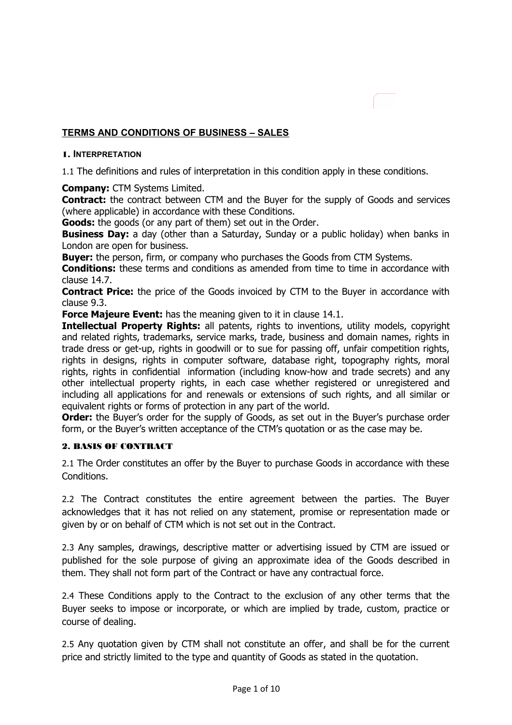# **TERMS AND CONDITIONS OF BUSINESS – SALES**

### 1. **INTERPRETATION**

1.1 The definitions and rules of interpretation in this condition apply in these conditions.

**Company:** CTM Systems Limited.

**Contract:** the contract between CTM and the Buyer for the supply of Goods and services (where applicable) in accordance with these Conditions.

**Goods:** the goods (or any part of them) set out in the Order.

**Business Day:** a day (other than a Saturday, Sunday or a public holiday) when banks in London are open for business.

**Buyer:** the person, firm, or company who purchases the Goods from CTM Systems.

**Conditions:** these terms and conditions as amended from time to time in accordance with clause 14.7.

**Contract Price:** the price of the Goods invoiced by CTM to the Buyer in accordance with clause 9.3.

**Force Majeure Event:** has the meaning given to it in clause 14.1.

**Intellectual Property Rights:** all patents, rights to inventions, utility models, copyright and related rights, trademarks, service marks, trade, business and domain names, rights in trade dress or get-up, rights in goodwill or to sue for passing off, unfair competition rights, rights in designs, rights in computer software, database right, topography rights, moral rights, rights in confidential information (including know-how and trade secrets) and any other intellectual property rights, in each case whether registered or unregistered and including all applications for and renewals or extensions of such rights, and all similar or equivalent rights or forms of protection in any part of the world.

**Order:** the Buyer's order for the supply of Goods, as set out in the Buyer's purchase order form, or the Buyer's written acceptance of the CTM's quotation or as the case may be.

#### 2. BASIS OF CONTRACT

2.1 The Order constitutes an offer by the Buyer to purchase Goods in accordance with these Conditions.

2.2 The Contract constitutes the entire agreement between the parties. The Buyer acknowledges that it has not relied on any statement, promise or representation made or given by or on behalf of CTM which is not set out in the Contract.

2.3 Any samples, drawings, descriptive matter or advertising issued by CTM are issued or published for the sole purpose of giving an approximate idea of the Goods described in them. They shall not form part of the Contract or have any contractual force.

2.4 These Conditions apply to the Contract to the exclusion of any other terms that the Buyer seeks to impose or incorporate, or which are implied by trade, custom, practice or course of dealing.

2.5 Any quotation given by CTM shall not constitute an offer, and shall be for the current price and strictly limited to the type and quantity of Goods as stated in the quotation.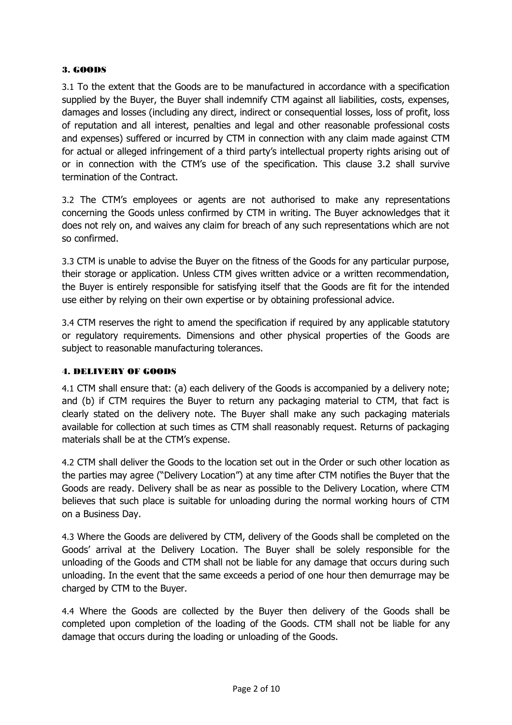## 3. GOODS

3.1 To the extent that the Goods are to be manufactured in accordance with a specification supplied by the Buyer, the Buyer shall indemnify CTM against all liabilities, costs, expenses, damages and losses (including any direct, indirect or consequential losses, loss of profit, loss of reputation and all interest, penalties and legal and other reasonable professional costs and expenses) suffered or incurred by CTM in connection with any claim made against CTM for actual or alleged infringement of a third party's intellectual property rights arising out of or in connection with the CTM's use of the specification. This clause 3.2 shall survive termination of the Contract.

3.2 The CTM's employees or agents are not authorised to make any representations concerning the Goods unless confirmed by CTM in writing. The Buyer acknowledges that it does not rely on, and waives any claim for breach of any such representations which are not so confirmed.

3.3 CTM is unable to advise the Buyer on the fitness of the Goods for any particular purpose, their storage or application. Unless CTM gives written advice or a written recommendation, the Buyer is entirely responsible for satisfying itself that the Goods are fit for the intended use either by relying on their own expertise or by obtaining professional advice.

3.4 CTM reserves the right to amend the specification if required by any applicable statutory or regulatory requirements. Dimensions and other physical properties of the Goods are subject to reasonable manufacturing tolerances.

#### 4. DELIVERY OF GOODS

4.1 CTM shall ensure that: (a) each delivery of the Goods is accompanied by a delivery note; and (b) if CTM requires the Buyer to return any packaging material to CTM, that fact is clearly stated on the delivery note. The Buyer shall make any such packaging materials available for collection at such times as CTM shall reasonably request. Returns of packaging materials shall be at the CTM's expense.

4.2 CTM shall deliver the Goods to the location set out in the Order or such other location as the parties may agree ("Delivery Location") at any time after CTM notifies the Buyer that the Goods are ready. Delivery shall be as near as possible to the Delivery Location, where CTM believes that such place is suitable for unloading during the normal working hours of CTM on a Business Day.

4.3 Where the Goods are delivered by CTM, delivery of the Goods shall be completed on the Goods' arrival at the Delivery Location. The Buyer shall be solely responsible for the unloading of the Goods and CTM shall not be liable for any damage that occurs during such unloading. In the event that the same exceeds a period of one hour then demurrage may be charged by CTM to the Buyer.

4.4 Where the Goods are collected by the Buyer then delivery of the Goods shall be completed upon completion of the loading of the Goods. CTM shall not be liable for any damage that occurs during the loading or unloading of the Goods.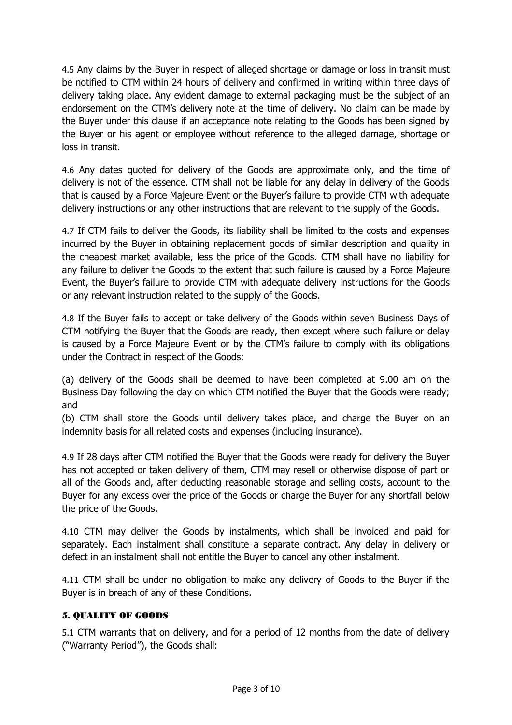4.5 Any claims by the Buyer in respect of alleged shortage or damage or loss in transit must be notified to CTM within 24 hours of delivery and confirmed in writing within three days of delivery taking place. Any evident damage to external packaging must be the subject of an endorsement on the CTM's delivery note at the time of delivery. No claim can be made by the Buyer under this clause if an acceptance note relating to the Goods has been signed by the Buyer or his agent or employee without reference to the alleged damage, shortage or loss in transit.

4.6 Any dates quoted for delivery of the Goods are approximate only, and the time of delivery is not of the essence. CTM shall not be liable for any delay in delivery of the Goods that is caused by a Force Majeure Event or the Buyer's failure to provide CTM with adequate delivery instructions or any other instructions that are relevant to the supply of the Goods.

4.7 If CTM fails to deliver the Goods, its liability shall be limited to the costs and expenses incurred by the Buyer in obtaining replacement goods of similar description and quality in the cheapest market available, less the price of the Goods. CTM shall have no liability for any failure to deliver the Goods to the extent that such failure is caused by a Force Majeure Event, the Buyer's failure to provide CTM with adequate delivery instructions for the Goods or any relevant instruction related to the supply of the Goods.

4.8 If the Buyer fails to accept or take delivery of the Goods within seven Business Days of CTM notifying the Buyer that the Goods are ready, then except where such failure or delay is caused by a Force Majeure Event or by the CTM's failure to comply with its obligations under the Contract in respect of the Goods:

(a) delivery of the Goods shall be deemed to have been completed at 9.00 am on the Business Day following the day on which CTM notified the Buyer that the Goods were ready; and

(b) CTM shall store the Goods until delivery takes place, and charge the Buyer on an indemnity basis for all related costs and expenses (including insurance).

4.9 If 28 days after CTM notified the Buyer that the Goods were ready for delivery the Buyer has not accepted or taken delivery of them, CTM may resell or otherwise dispose of part or all of the Goods and, after deducting reasonable storage and selling costs, account to the Buyer for any excess over the price of the Goods or charge the Buyer for any shortfall below the price of the Goods.

4.10 CTM may deliver the Goods by instalments, which shall be invoiced and paid for separately. Each instalment shall constitute a separate contract. Any delay in delivery or defect in an instalment shall not entitle the Buyer to cancel any other instalment.

4.11 CTM shall be under no obligation to make any delivery of Goods to the Buyer if the Buyer is in breach of any of these Conditions.

# 5. QUALITY OF GOODS

5.1 CTM warrants that on delivery, and for a period of 12 months from the date of delivery ("Warranty Period"), the Goods shall: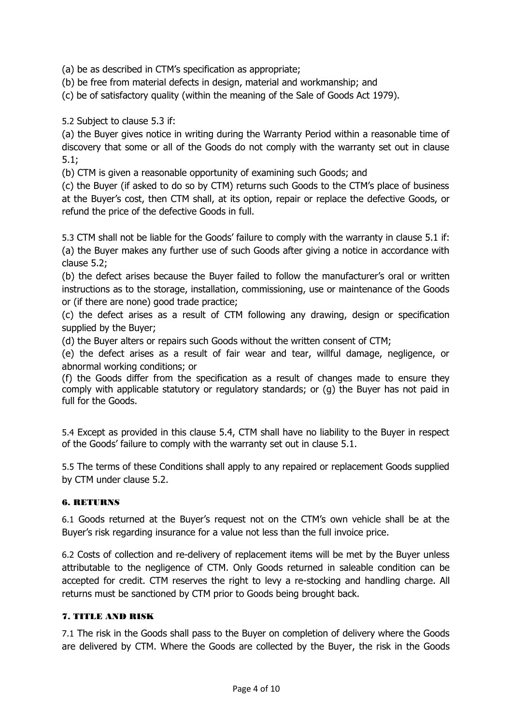(a) be as described in CTM's specification as appropriate;

(b) be free from material defects in design, material and workmanship; and

(c) be of satisfactory quality (within the meaning of the Sale of Goods Act 1979).

5.2 Subject to clause 5.3 if:

(a) the Buyer gives notice in writing during the Warranty Period within a reasonable time of discovery that some or all of the Goods do not comply with the warranty set out in clause 5.1;

(b) CTM is given a reasonable opportunity of examining such Goods; and

(c) the Buyer (if asked to do so by CTM) returns such Goods to the CTM's place of business at the Buyer's cost, then CTM shall, at its option, repair or replace the defective Goods, or refund the price of the defective Goods in full.

5.3 CTM shall not be liable for the Goods' failure to comply with the warranty in clause 5.1 if: (a) the Buyer makes any further use of such Goods after giving a notice in accordance with clause 5.2;

(b) the defect arises because the Buyer failed to follow the manufacturer's oral or written instructions as to the storage, installation, commissioning, use or maintenance of the Goods or (if there are none) good trade practice;

(c) the defect arises as a result of CTM following any drawing, design or specification supplied by the Buyer;

(d) the Buyer alters or repairs such Goods without the written consent of CTM;

(e) the defect arises as a result of fair wear and tear, willful damage, negligence, or abnormal working conditions; or

(f) the Goods differ from the specification as a result of changes made to ensure they comply with applicable statutory or regulatory standards; or (g) the Buyer has not paid in full for the Goods.

5.4 Except as provided in this clause 5.4, CTM shall have no liability to the Buyer in respect of the Goods' failure to comply with the warranty set out in clause 5.1.

5.5 The terms of these Conditions shall apply to any repaired or replacement Goods supplied by CTM under clause 5.2.

# 6. RETURNS

6.1 Goods returned at the Buyer's request not on the CTM's own vehicle shall be at the Buyer's risk regarding insurance for a value not less than the full invoice price.

6.2 Costs of collection and re-delivery of replacement items will be met by the Buyer unless attributable to the negligence of CTM. Only Goods returned in saleable condition can be accepted for credit. CTM reserves the right to levy a re-stocking and handling charge. All returns must be sanctioned by CTM prior to Goods being brought back.

#### 7. TITLE AND RISK

7.1 The risk in the Goods shall pass to the Buyer on completion of delivery where the Goods are delivered by CTM. Where the Goods are collected by the Buyer, the risk in the Goods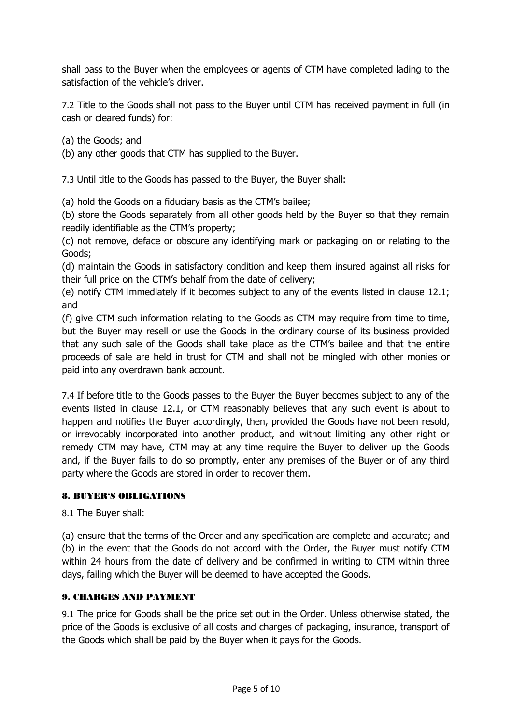shall pass to the Buyer when the employees or agents of CTM have completed lading to the satisfaction of the vehicle's driver.

7.2 Title to the Goods shall not pass to the Buyer until CTM has received payment in full (in cash or cleared funds) for:

(a) the Goods; and

(b) any other goods that CTM has supplied to the Buyer.

7.3 Until title to the Goods has passed to the Buyer, the Buyer shall:

(a) hold the Goods on a fiduciary basis as the CTM's bailee;

(b) store the Goods separately from all other goods held by the Buyer so that they remain readily identifiable as the CTM's property;

(c) not remove, deface or obscure any identifying mark or packaging on or relating to the Goods;

(d) maintain the Goods in satisfactory condition and keep them insured against all risks for their full price on the CTM's behalf from the date of delivery;

(e) notify CTM immediately if it becomes subject to any of the events listed in clause 12.1; and

(f) give CTM such information relating to the Goods as CTM may require from time to time, but the Buyer may resell or use the Goods in the ordinary course of its business provided that any such sale of the Goods shall take place as the CTM's bailee and that the entire proceeds of sale are held in trust for CTM and shall not be mingled with other monies or paid into any overdrawn bank account.

7.4 If before title to the Goods passes to the Buyer the Buyer becomes subject to any of the events listed in clause 12.1, or CTM reasonably believes that any such event is about to happen and notifies the Buyer accordingly, then, provided the Goods have not been resold, or irrevocably incorporated into another product, and without limiting any other right or remedy CTM may have, CTM may at any time require the Buyer to deliver up the Goods and, if the Buyer fails to do so promptly, enter any premises of the Buyer or of any third party where the Goods are stored in order to recover them.

#### 8. BUYER'S OBLIGATIONS

8.1 The Buyer shall:

(a) ensure that the terms of the Order and any specification are complete and accurate; and (b) in the event that the Goods do not accord with the Order, the Buyer must notify CTM within 24 hours from the date of delivery and be confirmed in writing to CTM within three days, failing which the Buyer will be deemed to have accepted the Goods.

## 9. CHARGES AND PAYMENT

9.1 The price for Goods shall be the price set out in the Order. Unless otherwise stated, the price of the Goods is exclusive of all costs and charges of packaging, insurance, transport of the Goods which shall be paid by the Buyer when it pays for the Goods.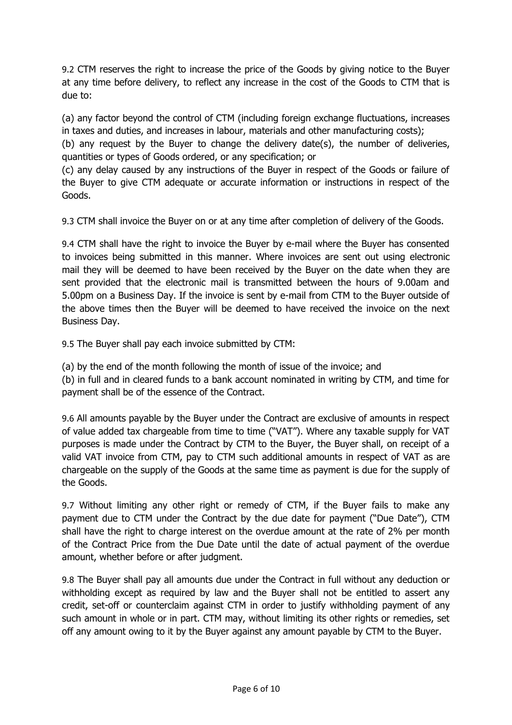9.2 CTM reserves the right to increase the price of the Goods by giving notice to the Buyer at any time before delivery, to reflect any increase in the cost of the Goods to CTM that is due to:

(a) any factor beyond the control of CTM (including foreign exchange fluctuations, increases in taxes and duties, and increases in labour, materials and other manufacturing costs);

(b) any request by the Buyer to change the delivery date(s), the number of deliveries, quantities or types of Goods ordered, or any specification; or

(c) any delay caused by any instructions of the Buyer in respect of the Goods or failure of the Buyer to give CTM adequate or accurate information or instructions in respect of the Goods.

9.3 CTM shall invoice the Buyer on or at any time after completion of delivery of the Goods.

9.4 CTM shall have the right to invoice the Buyer by e-mail where the Buyer has consented to invoices being submitted in this manner. Where invoices are sent out using electronic mail they will be deemed to have been received by the Buyer on the date when they are sent provided that the electronic mail is transmitted between the hours of 9.00am and 5.00pm on a Business Day. If the invoice is sent by e-mail from CTM to the Buyer outside of the above times then the Buyer will be deemed to have received the invoice on the next Business Day.

9.5 The Buyer shall pay each invoice submitted by CTM:

(a) by the end of the month following the month of issue of the invoice; and

(b) in full and in cleared funds to a bank account nominated in writing by CTM, and time for payment shall be of the essence of the Contract.

9.6 All amounts payable by the Buyer under the Contract are exclusive of amounts in respect of value added tax chargeable from time to time ("VAT"). Where any taxable supply for VAT purposes is made under the Contract by CTM to the Buyer, the Buyer shall, on receipt of a valid VAT invoice from CTM, pay to CTM such additional amounts in respect of VAT as are chargeable on the supply of the Goods at the same time as payment is due for the supply of the Goods.

9.7 Without limiting any other right or remedy of CTM, if the Buyer fails to make any payment due to CTM under the Contract by the due date for payment ("Due Date"), CTM shall have the right to charge interest on the overdue amount at the rate of 2% per month of the Contract Price from the Due Date until the date of actual payment of the overdue amount, whether before or after judgment.

9.8 The Buyer shall pay all amounts due under the Contract in full without any deduction or withholding except as required by law and the Buyer shall not be entitled to assert any credit, set-off or counterclaim against CTM in order to justify withholding payment of any such amount in whole or in part. CTM may, without limiting its other rights or remedies, set off any amount owing to it by the Buyer against any amount payable by CTM to the Buyer.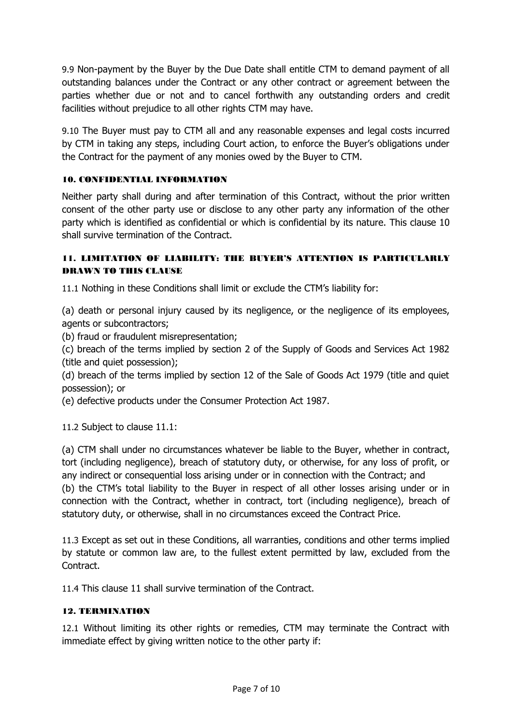9.9 Non-payment by the Buyer by the Due Date shall entitle CTM to demand payment of all outstanding balances under the Contract or any other contract or agreement between the parties whether due or not and to cancel forthwith any outstanding orders and credit facilities without prejudice to all other rights CTM may have.

9.10 The Buyer must pay to CTM all and any reasonable expenses and legal costs incurred by CTM in taking any steps, including Court action, to enforce the Buyer's obligations under the Contract for the payment of any monies owed by the Buyer to CTM.

## 10. CONFIDENTIAL INFORMATION

Neither party shall during and after termination of this Contract, without the prior written consent of the other party use or disclose to any other party any information of the other party which is identified as confidential or which is confidential by its nature. This clause 10 shall survive termination of the Contract.

# 11. LIMITATION OF LIABILITY: THE BUYER'S ATTENTION IS PARTICULARLY DRAWN TO THIS CLAUSE

11.1 Nothing in these Conditions shall limit or exclude the CTM's liability for:

(a) death or personal injury caused by its negligence, or the negligence of its employees, agents or subcontractors;

(b) fraud or fraudulent misrepresentation;

(c) breach of the terms implied by section 2 of the Supply of Goods and Services Act 1982 (title and quiet possession);

(d) breach of the terms implied by section 12 of the Sale of Goods Act 1979 (title and quiet possession); or

(e) defective products under the Consumer Protection Act 1987.

11.2 Subject to clause 11.1:

(a) CTM shall under no circumstances whatever be liable to the Buyer, whether in contract, tort (including negligence), breach of statutory duty, or otherwise, for any loss of profit, or any indirect or consequential loss arising under or in connection with the Contract; and (b) the CTM's total liability to the Buyer in respect of all other losses arising under or in connection with the Contract, whether in contract, tort (including negligence), breach of statutory duty, or otherwise, shall in no circumstances exceed the Contract Price.

11.3 Except as set out in these Conditions, all warranties, conditions and other terms implied by statute or common law are, to the fullest extent permitted by law, excluded from the Contract.

11.4 This clause 11 shall survive termination of the Contract.

#### 12. TERMINATION

12.1 Without limiting its other rights or remedies, CTM may terminate the Contract with immediate effect by giving written notice to the other party if: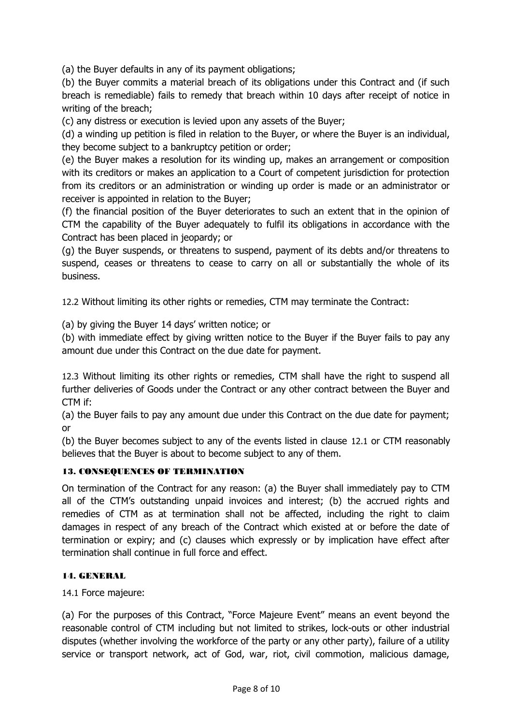(a) the Buyer defaults in any of its payment obligations;

(b) the Buyer commits a material breach of its obligations under this Contract and (if such breach is remediable) fails to remedy that breach within 10 days after receipt of notice in writing of the breach;

(c) any distress or execution is levied upon any assets of the Buyer;

(d) a winding up petition is filed in relation to the Buyer, or where the Buyer is an individual, they become subject to a bankruptcy petition or order;

(e) the Buyer makes a resolution for its winding up, makes an arrangement or composition with its creditors or makes an application to a Court of competent jurisdiction for protection from its creditors or an administration or winding up order is made or an administrator or receiver is appointed in relation to the Buyer;

(f) the financial position of the Buyer deteriorates to such an extent that in the opinion of CTM the capability of the Buyer adequately to fulfil its obligations in accordance with the Contract has been placed in jeopardy; or

(g) the Buyer suspends, or threatens to suspend, payment of its debts and/or threatens to suspend, ceases or threatens to cease to carry on all or substantially the whole of its business.

12.2 Without limiting its other rights or remedies, CTM may terminate the Contract:

(a) by giving the Buyer 14 days' written notice; or

(b) with immediate effect by giving written notice to the Buyer if the Buyer fails to pay any amount due under this Contract on the due date for payment.

12.3 Without limiting its other rights or remedies, CTM shall have the right to suspend all further deliveries of Goods under the Contract or any other contract between the Buyer and CTM if:

(a) the Buyer fails to pay any amount due under this Contract on the due date for payment; or

(b) the Buyer becomes subject to any of the events listed in clause 12.1 or CTM reasonably believes that the Buyer is about to become subject to any of them.

#### 13. CONSEQUENCES OF TERMINATION

On termination of the Contract for any reason: (a) the Buyer shall immediately pay to CTM all of the CTM's outstanding unpaid invoices and interest; (b) the accrued rights and remedies of CTM as at termination shall not be affected, including the right to claim damages in respect of any breach of the Contract which existed at or before the date of termination or expiry; and (c) clauses which expressly or by implication have effect after termination shall continue in full force and effect.

#### 14. GENERAL

14.1 Force majeure:

(a) For the purposes of this Contract, "Force Majeure Event" means an event beyond the reasonable control of CTM including but not limited to strikes, lock-outs or other industrial disputes (whether involving the workforce of the party or any other party), failure of a utility service or transport network, act of God, war, riot, civil commotion, malicious damage,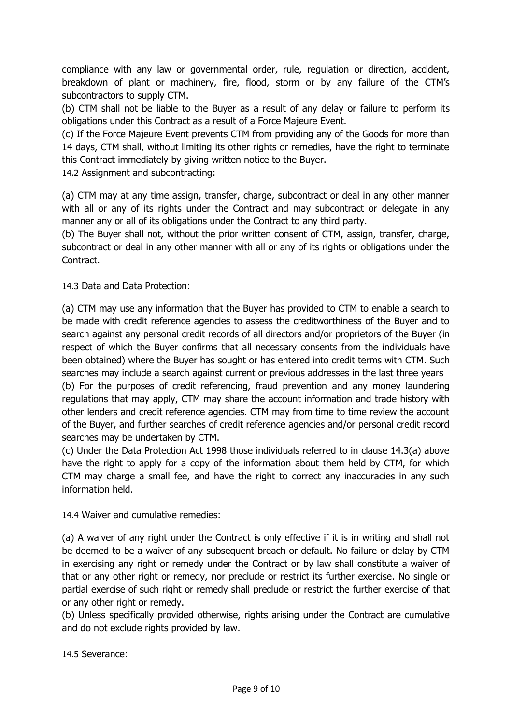compliance with any law or governmental order, rule, regulation or direction, accident, breakdown of plant or machinery, fire, flood, storm or by any failure of the CTM's subcontractors to supply CTM.

(b) CTM shall not be liable to the Buyer as a result of any delay or failure to perform its obligations under this Contract as a result of a Force Majeure Event.

(c) If the Force Majeure Event prevents CTM from providing any of the Goods for more than 14 days, CTM shall, without limiting its other rights or remedies, have the right to terminate this Contract immediately by giving written notice to the Buyer.

14.2 Assignment and subcontracting:

(a) CTM may at any time assign, transfer, charge, subcontract or deal in any other manner with all or any of its rights under the Contract and may subcontract or delegate in any manner any or all of its obligations under the Contract to any third party.

(b) The Buyer shall not, without the prior written consent of CTM, assign, transfer, charge, subcontract or deal in any other manner with all or any of its rights or obligations under the Contract.

14.3 Data and Data Protection:

(a) CTM may use any information that the Buyer has provided to CTM to enable a search to be made with credit reference agencies to assess the creditworthiness of the Buyer and to search against any personal credit records of all directors and/or proprietors of the Buyer (in respect of which the Buyer confirms that all necessary consents from the individuals have been obtained) where the Buyer has sought or has entered into credit terms with CTM. Such searches may include a search against current or previous addresses in the last three years

(b) For the purposes of credit referencing, fraud prevention and any money laundering regulations that may apply, CTM may share the account information and trade history with other lenders and credit reference agencies. CTM may from time to time review the account of the Buyer, and further searches of credit reference agencies and/or personal credit record searches may be undertaken by CTM.

(c) Under the Data Protection Act 1998 those individuals referred to in clause 14.3(a) above have the right to apply for a copy of the information about them held by CTM, for which CTM may charge a small fee, and have the right to correct any inaccuracies in any such information held.

14.4 Waiver and cumulative remedies:

(a) A waiver of any right under the Contract is only effective if it is in writing and shall not be deemed to be a waiver of any subsequent breach or default. No failure or delay by CTM in exercising any right or remedy under the Contract or by law shall constitute a waiver of that or any other right or remedy, nor preclude or restrict its further exercise. No single or partial exercise of such right or remedy shall preclude or restrict the further exercise of that or any other right or remedy.

(b) Unless specifically provided otherwise, rights arising under the Contract are cumulative and do not exclude rights provided by law.

14.5 Severance: